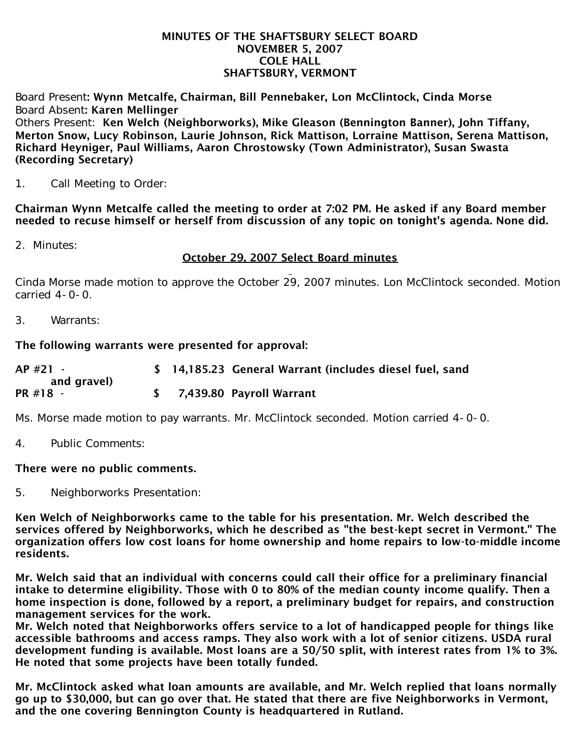#### MINUTES OF THE SHAFTSBURY SELECT BOARD NOVEMBER 5, 2007 COLE HALL SHAFTSBURY, VERMONT

Board Present: Wynn Metcalfe, Chairman, Bill Pennebaker, Lon McClintock, Cinda Morse Board Absent: Karen Mellinger Others Present: Ken Welch (Neighborworks), Mike Gleason (Bennington Banner), John Tiffany, Merton Snow, Lucy Robinson, Laurie Johnson, Rick Mattison, Lorraine Mattison, Serena Mattison, Richard Heyniger, Paul Williams, Aaron Chrostowsky (Town Administrator), Susan Swasta (Recording Secretary)

1. Call Meeting to Order:

Chairman Wynn Metcalfe called the meeting to order at 7:02 PM. He asked if any Board member needed to recuse himself or herself from discussion of any topic on tonight's agenda. None did.

2. Minutes:

# October 29, 2007 Select Board minutes

Cinda Morse made motion to approve the October 29, 2007 minutes. Lon McClintock seconded. Motion carried 4-0-0.

3. Warrants:

## The following warrants were presented for approval:

| $AP$ #21 -  |  | \$ 14,185.23 General Warrant (includes diesel fuel, sand |
|-------------|--|----------------------------------------------------------|
| and gravel) |  |                                                          |
| PR #18 -    |  | \$ 7,439.80 Payroll Warrant                              |

Ms. Morse made motion to pay warrants. Mr. McClintock seconded. Motion carried 4-0-0.

4. Public Comments:

## There were no public comments.

5. Neighborworks Presentation:

Ken Welch of Neighborworks came to the table for his presentation. Mr. Welch described the services offered by Neighborworks, which he described as "the best-kept secret in Vermont." The organization offers low cost loans for home ownership and home repairs to low-to-middle income residents.

Mr. Welch said that an individual with concerns could call their office for a preliminary financial intake to determine eligibility. Those with 0 to 80% of the median county income qualify. Then a home inspection is done, followed by a report, a preliminary budget for repairs, and construction management services for the work.

Mr. Welch noted that Neighborworks offers service to a lot of handicapped people for things like accessible bathrooms and access ramps. They also work with a lot of senior citizens. USDA rural development funding is available. Most loans are a 50/50 split, with interest rates from 1% to 3%. He noted that some projects have been totally funded.

Mr. McClintock asked what loan amounts are available, and Mr. Welch replied that loans normally go up to \$30,000, but can go over that. He stated that there are five Neighborworks in Vermont, and the one covering Bennington County is headquartered in Rutland.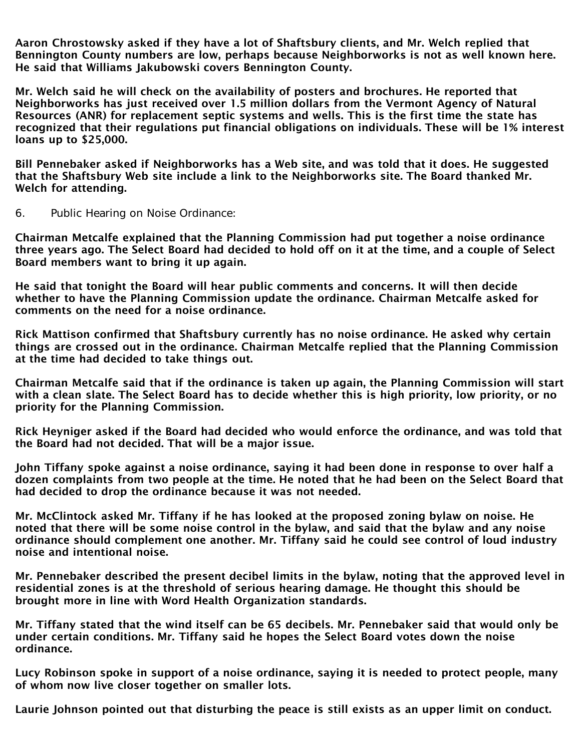Aaron Chrostowsky asked if they have a lot of Shaftsbury clients, and Mr. Welch replied that Bennington County numbers are low, perhaps because Neighborworks is not as well known here. He said that Williams Jakubowski covers Bennington County.

Mr. Welch said he will check on the availability of posters and brochures. He reported that Neighborworks has just received over 1.5 million dollars from the Vermont Agency of Natural Resources (ANR) for replacement septic systems and wells. This is the first time the state has recognized that their regulations put financial obligations on individuals. These will be 1% interest loans up to \$25,000.

Bill Pennebaker asked if Neighborworks has a Web site, and was told that it does. He suggested that the Shaftsbury Web site include a link to the Neighborworks site. The Board thanked Mr. Welch for attending.

6. Public Hearing on Noise Ordinance:

Chairman Metcalfe explained that the Planning Commission had put together a noise ordinance three years ago. The Select Board had decided to hold off on it at the time, and a couple of Select Board members want to bring it up again.

He said that tonight the Board will hear public comments and concerns. It will then decide whether to have the Planning Commission update the ordinance. Chairman Metcalfe asked for comments on the need for a noise ordinance.

Rick Mattison confirmed that Shaftsbury currently has no noise ordinance. He asked why certain things are crossed out in the ordinance. Chairman Metcalfe replied that the Planning Commission at the time had decided to take things out.

Chairman Metcalfe said that if the ordinance is taken up again, the Planning Commission will start with a clean slate. The Select Board has to decide whether this is high priority, low priority, or no priority for the Planning Commission.

Rick Heyniger asked if the Board had decided who would enforce the ordinance, and was told that the Board had not decided. That will be a major issue.

John Tiffany spoke against a noise ordinance, saying it had been done in response to over half a dozen complaints from two people at the time. He noted that he had been on the Select Board that had decided to drop the ordinance because it was not needed.

Mr. McClintock asked Mr. Tiffany if he has looked at the proposed zoning bylaw on noise. He noted that there will be some noise control in the bylaw, and said that the bylaw and any noise ordinance should complement one another. Mr. Tiffany said he could see control of loud industry noise and intentional noise.

Mr. Pennebaker described the present decibel limits in the bylaw, noting that the approved level in residential zones is at the threshold of serious hearing damage. He thought this should be brought more in line with Word Health Organization standards.

Mr. Tiffany stated that the wind itself can be 65 decibels. Mr. Pennebaker said that would only be under certain conditions. Mr. Tiffany said he hopes the Select Board votes down the noise ordinance.

Lucy Robinson spoke in support of a noise ordinance, saying it is needed to protect people, many of whom now live closer together on smaller lots.

Laurie Johnson pointed out that disturbing the peace is still exists as an upper limit on conduct.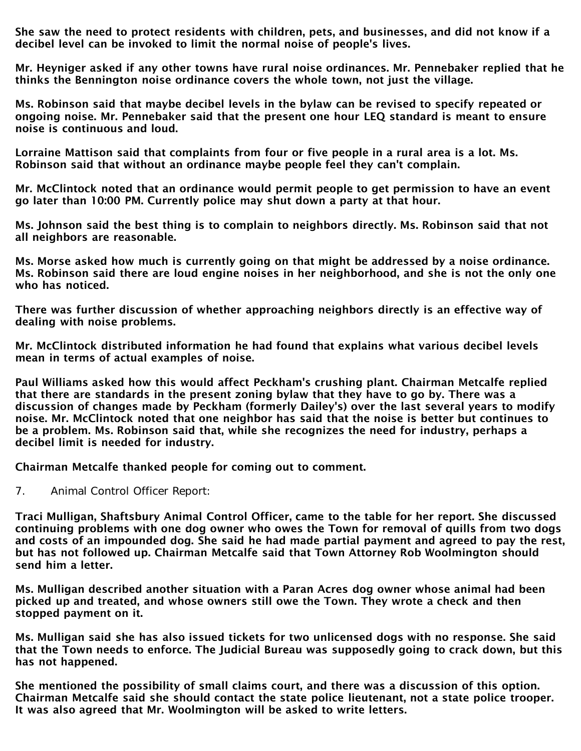She saw the need to protect residents with children, pets, and businesses, and did not know if a decibel level can be invoked to limit the normal noise of people's lives.

Mr. Heyniger asked if any other towns have rural noise ordinances. Mr. Pennebaker replied that he thinks the Bennington noise ordinance covers the whole town, not just the village.

Ms. Robinson said that maybe decibel levels in the bylaw can be revised to specify repeated or ongoing noise. Mr. Pennebaker said that the present one hour LEQ standard is meant to ensure noise is continuous and loud.

Lorraine Mattison said that complaints from four or five people in a rural area is a lot. Ms. Robinson said that without an ordinance maybe people feel they can't complain.

Mr. McClintock noted that an ordinance would permit people to get permission to have an event go later than 10:00 PM. Currently police may shut down a party at that hour.

Ms. Johnson said the best thing is to complain to neighbors directly. Ms. Robinson said that not all neighbors are reasonable.

Ms. Morse asked how much is currently going on that might be addressed by a noise ordinance. Ms. Robinson said there are loud engine noises in her neighborhood, and she is not the only one who has noticed.

There was further discussion of whether approaching neighbors directly is an effective way of dealing with noise problems.

Mr. McClintock distributed information he had found that explains what various decibel levels mean in terms of actual examples of noise.

Paul Williams asked how this would affect Peckham's crushing plant. Chairman Metcalfe replied that there are standards in the present zoning bylaw that they have to go by. There was a discussion of changes made by Peckham (formerly Dailey's) over the last several years to modify noise. Mr. McClintock noted that one neighbor has said that the noise is better but continues to be a problem. Ms. Robinson said that, while she recognizes the need for industry, perhaps a decibel limit is needed for industry.

Chairman Metcalfe thanked people for coming out to comment.

7. Animal Control Officer Report:

Traci Mulligan, Shaftsbury Animal Control Officer, came to the table for her report. She discussed continuing problems with one dog owner who owes the Town for removal of quills from two dogs and costs of an impounded dog. She said he had made partial payment and agreed to pay the rest, but has not followed up. Chairman Metcalfe said that Town Attorney Rob Woolmington should send him a letter.

Ms. Mulligan described another situation with a Paran Acres dog owner whose animal had been picked up and treated, and whose owners still owe the Town. They wrote a check and then stopped payment on it.

Ms. Mulligan said she has also issued tickets for two unlicensed dogs with no response. She said that the Town needs to enforce. The Judicial Bureau was supposedly going to crack down, but this has not happened.

She mentioned the possibility of small claims court, and there was a discussion of this option. Chairman Metcalfe said she should contact the state police lieutenant, not a state police trooper. It was also agreed that Mr. Woolmington will be asked to write letters.